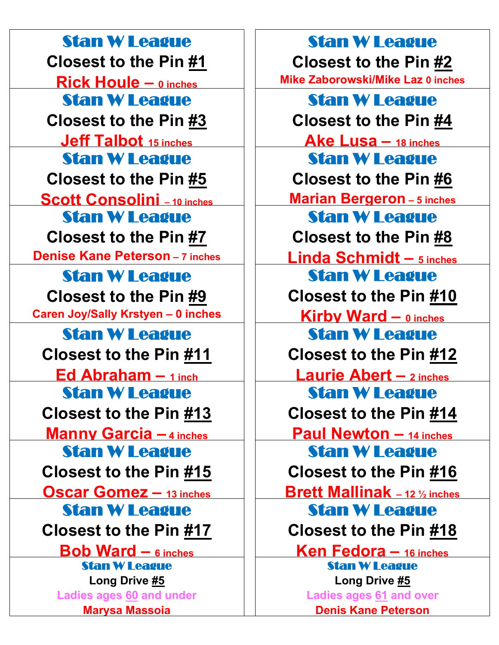Stan W League **Closest to the Pin #1 Rick Houle – 0 inches** Stan W League **Closest to the Pin #3 Jeff Talbot 15 inches** Stan W League **Closest to the Pin #5 Scott Consolini – 10 inches** Stan W League **Closest to the Pin #7 Denise Kane Peterson – 7 inches** Stan W League **Closest to the Pin #9 Caren Joy/Sally Krstyen – 0 inches** Stan W League **Closest to the Pin #11 Ed Abraham – 1 inch** Stan W League **Closest to the Pin #13 Manny Garcia – 4 inches** Stan W League **Closest to the Pin #15 Oscar Gomez – 13 inches** Stan W League **Closest to the Pin #17 Bob Ward – 6 inches** Stan W League **Long Drive #5 Ladies ages 60 and under Marysa Massoia**

Stan W League **Closest to the Pin #2 Mike Zaborowski/Mike Laz 0 inches** Stan W League **Closest to the Pin #4 Ake Lusa – 18 inches** Stan W League **Closest to the Pin #6 Marian Bergeron – 5 inches** Stan W League **Closest to the Pin #8 Linda Schmidt – 5 inches** Stan W League **Closest to the Pin #10 Kirby Ward – 0 inches** Stan W League **Closest to the Pin #12 Laurie Abert – 2 inches** Stan W League **Closest to the Pin #14 Paul Newton – 14 inches** Stan W League **Closest to the Pin #16 Brett Mallinak – 12 ½ inches** Stan W League **Closest to the Pin #18 Ken Fedora – 16 inches** Stan W League **Long Drive #5 Ladies ages 61 and over**

**Denis Kane Peterson**